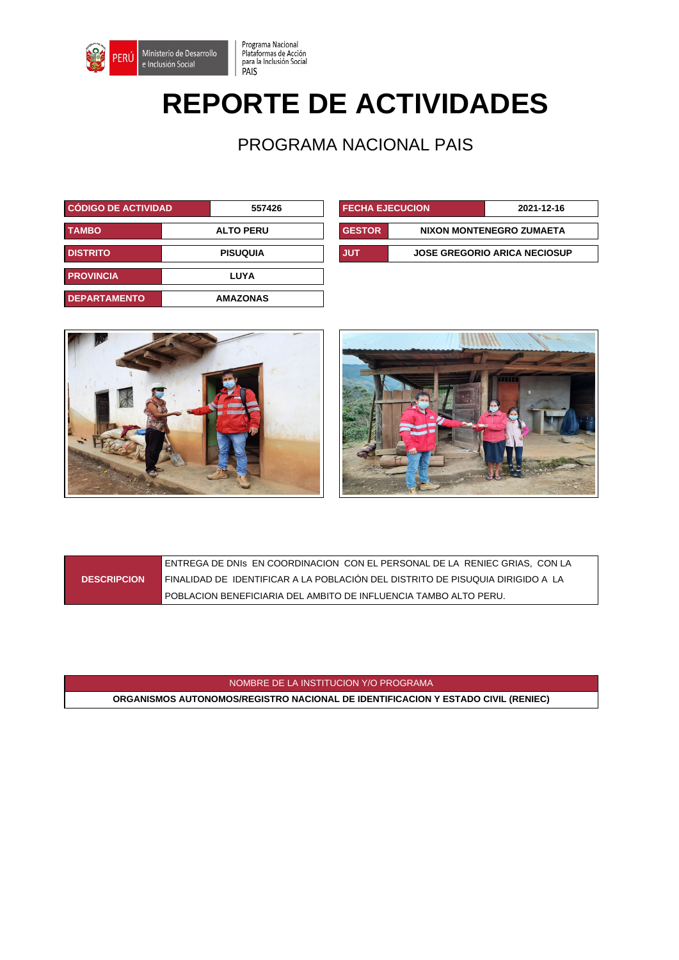

## **REPORTE DE ACTIVIDADES**

Programa Nacional<br>Plataformas de Acción<br>para la Inclusión Social<br>PAIS

PROGRAMA NACIONAL PAIS

| <b>CÓDIGO DE ACTIVIDAD.</b> | 557426           | <b>FECHA EJECUCION</b> |  | 2021-12-16                          |
|-----------------------------|------------------|------------------------|--|-------------------------------------|
| <b>TAMBO</b>                | <b>ALTO PERU</b> | <b>GESTOR</b>          |  | NIXON MONTENEGRO ZUMAETA            |
| <b>DISTRITO</b>             | <b>PISUQUIA</b>  | JUT                    |  | <b>JOSE GREGORIO ARICA NECIOSUP</b> |
| <b>PROVINCIA</b>            | LUYA             |                        |  |                                     |
| <b>DEPARTAMENTO</b>         | <b>AMAZONAS</b>  |                        |  |                                     |

| <b>FECHA EJECUCION</b> |                                     | 2021-12-16 |  |
|------------------------|-------------------------------------|------------|--|
| <b>GESTOR</b>          | NIXON MONTENEGRO ZUMAETA            |            |  |
| JUT                    | <b>JOSE GREGORIO ARICA NECIOSUP</b> |            |  |





|                    | LENTREGA DE DNIS EN COORDINACION CON EL PERSONAL DE LA RENIEC GRIAS. CON LA      |
|--------------------|----------------------------------------------------------------------------------|
| <b>DESCRIPCION</b> | FINALIDAD DE  IDENTIFICAR A LA POBLACIÓN DEL DISTRITO DE PISUQUIA DIRIGIDO A  LA |
|                    | l POBLACION BENEFICIARIA DEL AMBITO DE INFLUENCIA TAMBO ALTO PERU.               |

NOMBRE DE LA INSTITUCION Y/O PROGRAMA

**ORGANISMOS AUTONOMOS/REGISTRO NACIONAL DE IDENTIFICACION Y ESTADO CIVIL (RENIEC)**